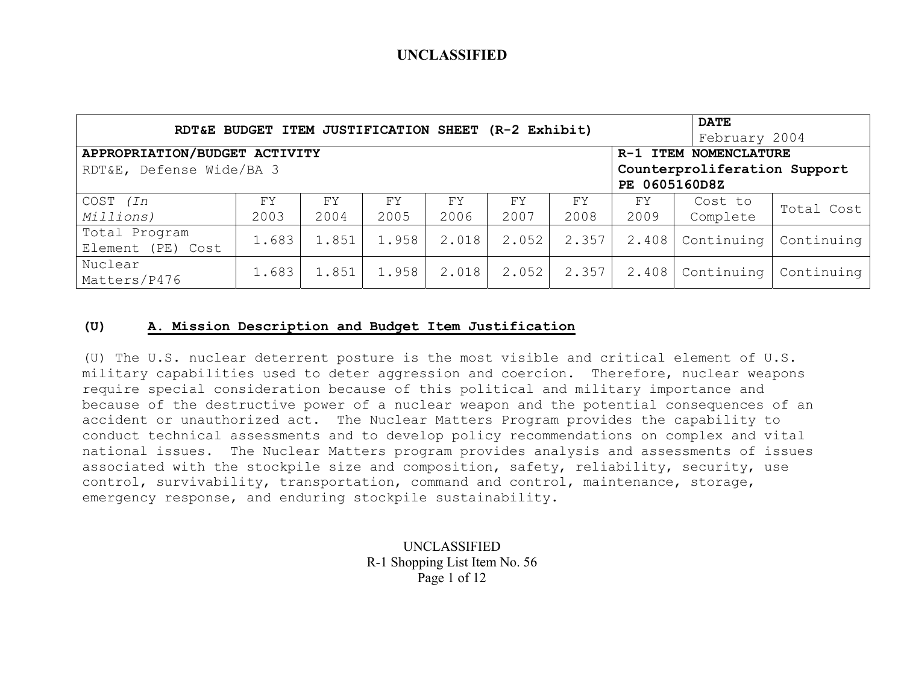|                               | RDT&E BUDGET ITEM JUSTIFICATION SHEET |       |       |       | $(R-2)$ Exhibit) |       |                              | <b>DATE</b><br>February 2004 |            |
|-------------------------------|---------------------------------------|-------|-------|-------|------------------|-------|------------------------------|------------------------------|------------|
| APPROPRIATION/BUDGET ACTIVITY |                                       |       |       |       |                  |       | R-1 ITEM NOMENCLATURE        |                              |            |
| RDT&E, Defense Wide/BA 3      |                                       |       |       |       |                  |       | Counterproliferation Support |                              |            |
|                               |                                       |       |       |       |                  |       | PE 0605160D8Z                |                              |            |
| COST (In                      | <b>FY</b>                             | FY.   | FY    | FY    | FY               | FY    | FY                           | Cost to                      | Total Cost |
| Millions)                     | 2003                                  | 2004  | 2005  | 2006  | 2007             | 2008  | 2009                         | Complete                     |            |
| Total Program                 | 1.683                                 | 1.851 | 1.958 | 2.018 | 2.052            | 2.357 | 2.408                        | Continuing                   | Continuing |
| Element (PE) Cost             |                                       |       |       |       |                  |       |                              |                              |            |
| Nuclear                       | 1.683                                 | 1.851 | 1.958 | 2.018 | 2.052            | 2.357 | 2.408                        | Continuing                   | Continuing |
| Matters/P476                  |                                       |       |       |       |                  |       |                              |                              |            |

### **(U) A. Mission Description and Budget Item Justification**

(U) The U.S. nuclear deterrent posture is the most visible and critical element of U.S. military capabilities used to deter aggression and coercion. Therefore, nuclear weapons require special consideration because of this political and military importance and because of the destructive power of a nuclear weapon and the potential consequences of an accident or unauthorized act. The Nuclear Matters Program provides the capability to conduct technical assessments and to develop policy recommendations on complex and vital national issues. The Nuclear Matters program provides analysis and assessments of issues associated with the stockpile size and composition, safety, reliability, security, use control, survivability, transportation, command and control, maintenance, storage, emergency response, and enduring stockpile sustainability.

> UNCLASSIFIED R-1 Shopping List Item No. 56 Page 1 of 12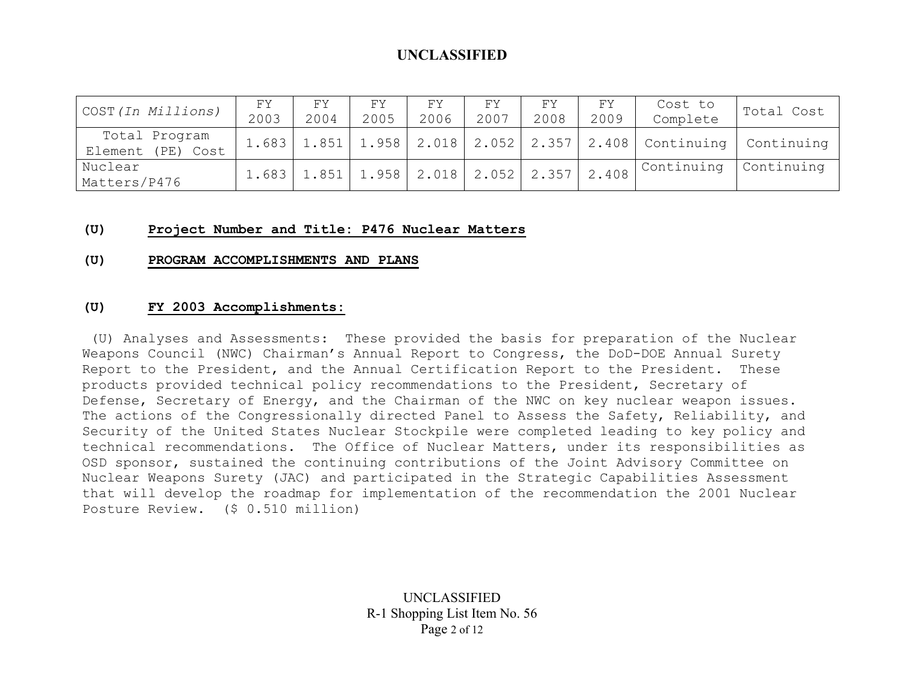| COST (In Millions)                 | FΥ<br>2003 | FΥ<br>2004 | FY.<br>2005 | FY.<br>2006 | FΥ<br>2007                                        | FΥ<br>2008 | FY<br>2009 | Cost to<br>Complete | Total Cost                                                                      |
|------------------------------------|------------|------------|-------------|-------------|---------------------------------------------------|------------|------------|---------------------|---------------------------------------------------------------------------------|
| Total Program<br>Element (PE) Cost |            |            |             |             |                                                   |            |            |                     | 1.683   1.851   1.958   2.018   2.052   2.357   2.408   Continuing   Continuing |
| Nuclear<br>Matters/P476            | 1.683      |            |             |             | $' 1.851   1.958   2.018   2.052   2.357   2.408$ |            |            | Continuing          | Continuing                                                                      |

#### **(U) Project Number and Title: P476 Nuclear Matters**

#### **(U) PROGRAM ACCOMPLISHMENTS AND PLANS**

#### **(U) FY 2003 Accomplishments:**

 (U) Analyses and Assessments: These provided the basis for preparation of the Nuclear Weapons Council (NWC) Chairman's Annual Report to Congress, the DoD-DOE Annual Surety Report to the President, and the Annual Certification Report to the President. These products provided technical policy recommendations to the President, Secretary of Defense, Secretary of Energy, and the Chairman of the NWC on key nuclear weapon issues. The actions of the Congressionally directed Panel to Assess the Safety, Reliability, and Security of the United States Nuclear Stockpile were completed leading to key policy and technical recommendations. The Office of Nuclear Matters, under its responsibilities as OSD sponsor, sustained the continuing contributions of the Joint Advisory Committee on Nuclear Weapons Surety (JAC) and participated in the Strategic Capabilities Assessment that will develop the roadmap for implementation of the recommendation the 2001 Nuclear Posture Review. (\$ 0.510 million)

> UNCLASSIFIED R-1 Shopping List Item No. 56 Page 2 of 12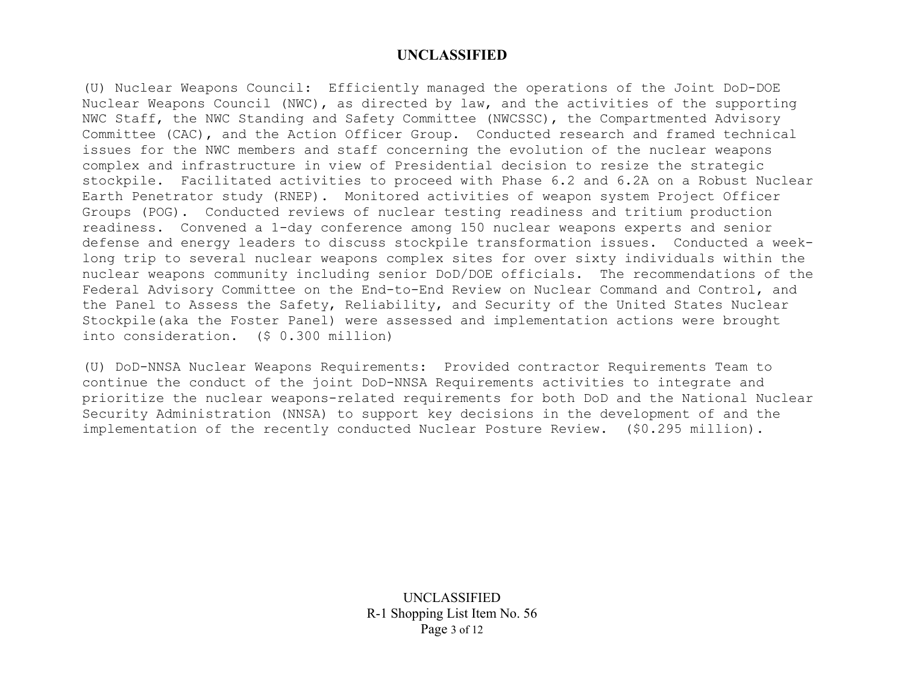(U) Nuclear Weapons Council: Efficiently managed the operations of the Joint DoD-DOE Nuclear Weapons Council (NWC), as directed by law, and the activities of the supporting NWC Staff, the NWC Standing and Safety Committee (NWCSSC), the Compartmented Advisory Committee (CAC), and the Action Officer Group. Conducted research and framed technical issues for the NWC members and staff concerning the evolution of the nuclear weapons complex and infrastructure in view of Presidential decision to resize the strategic stockpile. Facilitated activities to proceed with Phase 6.2 and 6.2A on a Robust Nuclear Earth Penetrator study (RNEP). Monitored activities of weapon system Project Officer Groups (POG). Conducted reviews of nuclear testing readiness and tritium production readiness. Convened a 1-day conference among 150 nuclear weapons experts and senior defense and energy leaders to discuss stockpile transformation issues. Conducted a weeklong trip to several nuclear weapons complex sites for over sixty individuals within the nuclear weapons community including senior DoD/DOE officials. The recommendations of the Federal Advisory Committee on the End-to-End Review on Nuclear Command and Control, and the Panel to Assess the Safety, Reliability, and Security of the United States Nuclear Stockpile(aka the Foster Panel) were assessed and implementation actions were brought into consideration. (\$ 0.300 million)

(U) DoD-NNSA Nuclear Weapons Requirements: Provided contractor Requirements Team to continue the conduct of the joint DoD-NNSA Requirements activities to integrate and prioritize the nuclear weapons-related requirements for both DoD and the National Nuclear Security Administration (NNSA) to support key decisions in the development of and the implementation of the recently conducted Nuclear Posture Review. (\$0.295 million).

> UNCLASSIFIED R-1 Shopping List Item No. 56 Page 3 of 12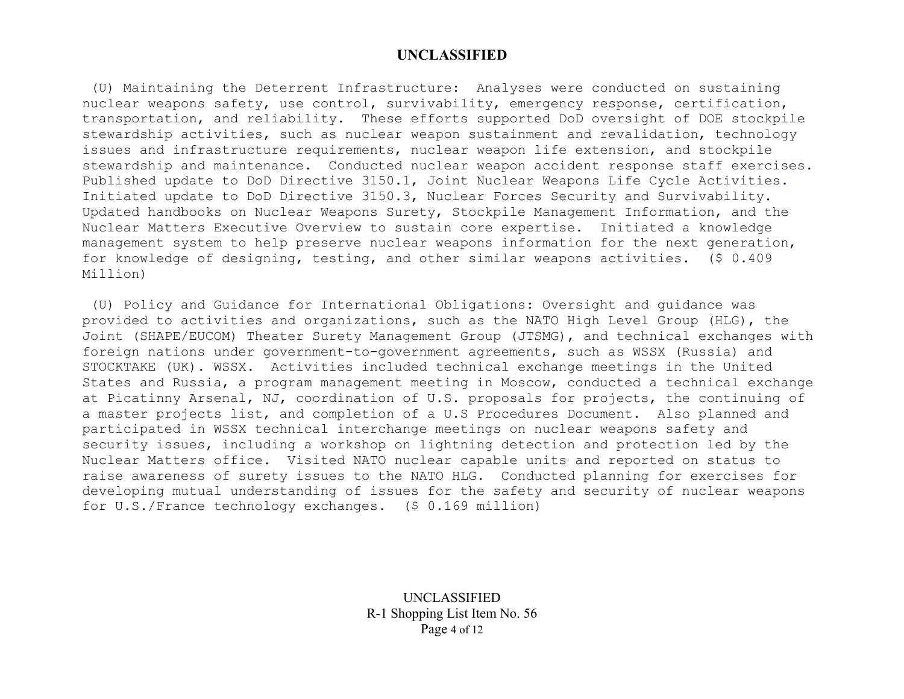(U) Maintaining the Deterrent Infrastructure: Analyses were conducted on sustaining nuclear weapons safety, use control, survivability, emergency response, certification, transportation, and reliability. These efforts supported DoD oversight of DOE stockpile stewardship activities, such as nuclear weapon sustainment and revalidation, technology issues and infrastructure requirements, nuclear weapon life extension, and stockpile stewardship and maintenance. Conducted nuclear weapon accident response staff exercises. Published update to DoD Directive 3150.1, Joint Nuclear Weapons Life Cycle Activities. Initiated update to DoD Directive 3150.3, Nuclear Forces Security and Survivability. Updated handbooks on Nuclear Weapons Surety, Stockpile Management Information, and the Nuclear Matters Executive Overview to sustain core expertise. Initiated a knowledge management system to help preserve nuclear weapons information for the next generation, for knowledge of designing, testing, and other similar weapons activities. (\$ 0.409 Million)

 (U) Policy and Guidance for International Obligations: Oversight and guidance was provided to activities and organizations, such as the NATO High Level Group (HLG), the Joint (SHAPE/EUCOM) Theater Surety Management Group (JTSMG), and technical exchanges with foreign nations under government-to-government agreements, such as WSSX (Russia) and STOCKTAKE (UK). WSSX. Activities included technical exchange meetings in the United States and Russia, a program management meeting in Moscow, conducted a technical exchange at Picatinny Arsenal, NJ, coordination of U.S. proposals for projects, the continuing of a master projects list, and completion of a U.S Procedures Document. Also planned and participated in WSSX technical interchange meetings on nuclear weapons safety and security issues, including a workshop on lightning detection and protection led by the Nuclear Matters office. Visited NATO nuclear capable units and reported on status to raise awareness of surety issues to the NATO HLG. Conducted planning for exercises for developing mutual understanding of issues for the safety and security of nuclear weapons for U.S./France technology exchanges**.** (\$ 0.169 million)

> UNCLASSIFIED R-1 Shopping List Item No. 56 Page 4 of 12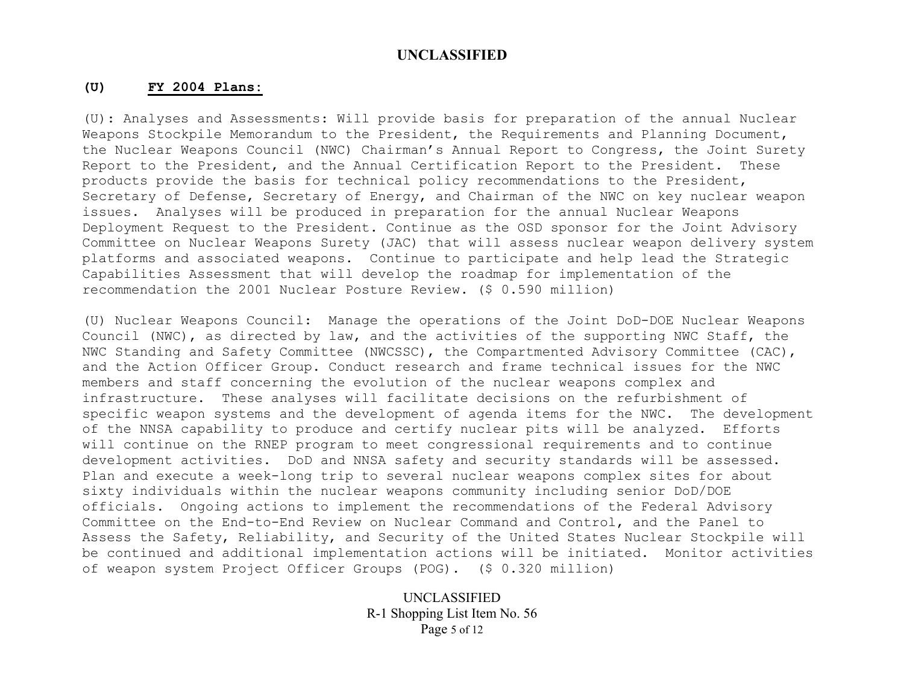#### **(U) FY 2004 Plans:**

(U): Analyses and Assessments: Will provide basis for preparation of the annual Nuclear Weapons Stockpile Memorandum to the President, the Requirements and Planning Document, the Nuclear Weapons Council (NWC) Chairman's Annual Report to Congress, the Joint Surety Report to the President, and the Annual Certification Report to the President. These products provide the basis for technical policy recommendations to the President, Secretary of Defense, Secretary of Energy, and Chairman of the NWC on key nuclear weapon issues. Analyses will be produced in preparation for the annual Nuclear Weapons Deployment Request to the President. Continue as the OSD sponsor for the Joint Advisory Committee on Nuclear Weapons Surety (JAC) that will assess nuclear weapon delivery system platforms and associated weapons. Continue to participate and help lead the Strategic Capabilities Assessment that will develop the roadmap for implementation of the recommendation the 2001 Nuclear Posture Review. (\$ 0.590 million)

(U) Nuclear Weapons Council: Manage the operations of the Joint DoD-DOE Nuclear Weapons Council (NWC), as directed by law, and the activities of the supporting NWC Staff, the NWC Standing and Safety Committee (NWCSSC), the Compartmented Advisory Committee (CAC), and the Action Officer Group. Conduct research and frame technical issues for the NWC members and staff concerning the evolution of the nuclear weapons complex and infrastructure. These analyses will facilitate decisions on the refurbishment of specific weapon systems and the development of agenda items for the NWC. The development of the NNSA capability to produce and certify nuclear pits will be analyzed. Efforts will continue on the RNEP program to meet congressional requirements and to continue development activities. DoD and NNSA safety and security standards will be assessed. Plan and execute a week-long trip to several nuclear weapons complex sites for about sixty individuals within the nuclear weapons community including senior DoD/DOE officials. Ongoing actions to implement the recommendations of the Federal Advisory Committee on the End-to-End Review on Nuclear Command and Control, and the Panel to Assess the Safety, Reliability, and Security of the United States Nuclear Stockpile will be continued and additional implementation actions will be initiated. Monitor activities of weapon system Project Officer Groups (POG). (\$ 0.320 million)

> UNCLASSIFIED R-1 Shopping List Item No. 56 Page 5 of 12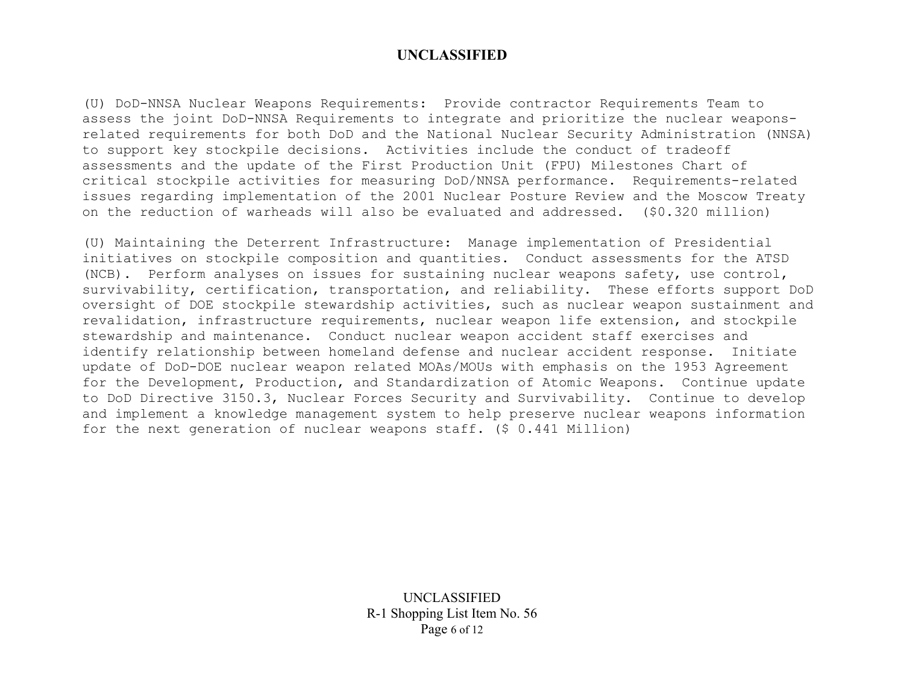(U) DoD-NNSA Nuclear Weapons Requirements: Provide contractor Requirements Team to assess the joint DoD-NNSA Requirements to integrate and prioritize the nuclear weaponsrelated requirements for both DoD and the National Nuclear Security Administration (NNSA) to support key stockpile decisions. Activities include the conduct of tradeoff assessments and the update of the First Production Unit (FPU) Milestones Chart of critical stockpile activities for measuring DoD/NNSA performance. Requirements-related issues regarding implementation of the 2001 Nuclear Posture Review and the Moscow Treaty on the reduction of warheads will also be evaluated and addressed. (\$0.320 million)

(U) Maintaining the Deterrent Infrastructure: Manage implementation of Presidential initiatives on stockpile composition and quantities. Conduct assessments for the ATSD (NCB). Perform analyses on issues for sustaining nuclear weapons safety, use control, survivability, certification, transportation, and reliability. These efforts support DoD oversight of DOE stockpile stewardship activities, such as nuclear weapon sustainment and revalidation, infrastructure requirements, nuclear weapon life extension, and stockpile stewardship and maintenance. Conduct nuclear weapon accident staff exercises and identify relationship between homeland defense and nuclear accident response. Initiate update of DoD-DOE nuclear weapon related MOAs/MOUs with emphasis on the 1953 Agreement for the Development, Production, and Standardization of Atomic Weapons. Continue update to DoD Directive 3150.3, Nuclear Forces Security and Survivability. Continue to develop and implement a knowledge management system to help preserve nuclear weapons information for the next generation of nuclear weapons staff. (\$ 0.441 Million)

> UNCLASSIFIED R-1 Shopping List Item No. 56 Page 6 of 12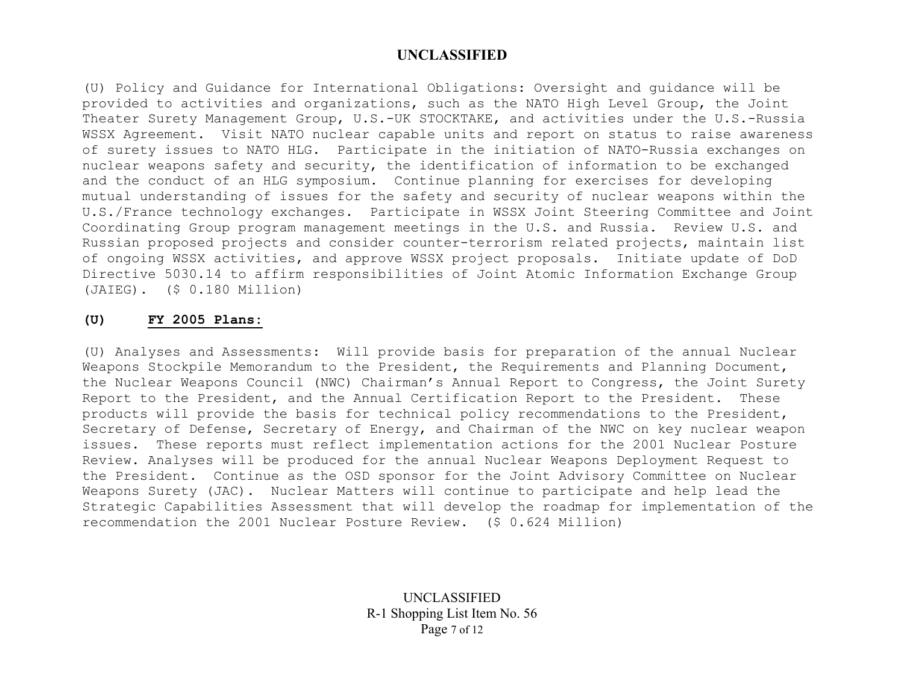(U) Policy and Guidance for International Obligations: Oversight and guidance will be provided to activities and organizations, such as the NATO High Level Group, the Joint Theater Surety Management Group, U.S.-UK STOCKTAKE, and activities under the U.S.-Russia WSSX Agreement. Visit NATO nuclear capable units and report on status to raise awareness of surety issues to NATO HLG. Participate in the initiation of NATO-Russia exchanges on nuclear weapons safety and security, the identification of information to be exchanged and the conduct of an HLG symposium. Continue planning for exercises for developing mutual understanding of issues for the safety and security of nuclear weapons within the U.S./France technology exchanges. Participate in WSSX Joint Steering Committee and Joint Coordinating Group program management meetings in the U.S. and Russia. Review U.S. and Russian proposed projects and consider counter-terrorism related projects, maintain list of ongoing WSSX activities, and approve WSSX project proposals. Initiate update of DoD Directive 5030.14 to affirm responsibilities of Joint Atomic Information Exchange Group (JAIEG). (\$ 0.180 Million)

#### **(U) FY 2005 Plans:**

(U) Analyses and Assessments: Will provide basis for preparation of the annual Nuclear Weapons Stockpile Memorandum to the President, the Requirements and Planning Document, the Nuclear Weapons Council (NWC) Chairman's Annual Report to Congress, the Joint Surety Report to the President, and the Annual Certification Report to the President. These products will provide the basis for technical policy recommendations to the President, Secretary of Defense, Secretary of Energy, and Chairman of the NWC on key nuclear weapon issues. These reports must reflect implementation actions for the 2001 Nuclear Posture Review. Analyses will be produced for the annual Nuclear Weapons Deployment Request to the President. Continue as the OSD sponsor for the Joint Advisory Committee on Nuclear Weapons Surety (JAC). Nuclear Matters will continue to participate and help lead the Strategic Capabilities Assessment that will develop the roadmap for implementation of the recommendation the 2001 Nuclear Posture Review. (\$ 0.624 Million)

> UNCLASSIFIED R-1 Shopping List Item No. 56 Page 7 of 12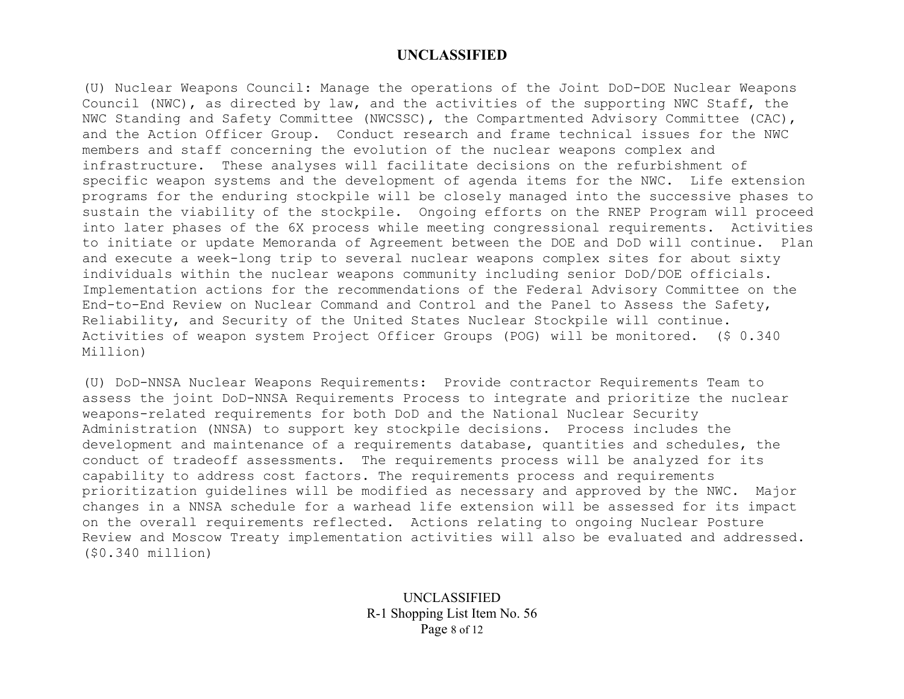(U) Nuclear Weapons Council: Manage the operations of the Joint DoD-DOE Nuclear Weapons Council (NWC), as directed by law, and the activities of the supporting NWC Staff, the NWC Standing and Safety Committee (NWCSSC), the Compartmented Advisory Committee (CAC), and the Action Officer Group. Conduct research and frame technical issues for the NWC members and staff concerning the evolution of the nuclear weapons complex and infrastructure. These analyses will facilitate decisions on the refurbishment of specific weapon systems and the development of agenda items for the NWC. Life extension programs for the enduring stockpile will be closely managed into the successive phases to sustain the viability of the stockpile. Ongoing efforts on the RNEP Program will proceed into later phases of the 6X process while meeting congressional requirements. Activities to initiate or update Memoranda of Agreement between the DOE and DoD will continue. Plan and execute a week-long trip to several nuclear weapons complex sites for about sixty individuals within the nuclear weapons community including senior DoD/DOE officials. Implementation actions for the recommendations of the Federal Advisory Committee on the End-to-End Review on Nuclear Command and Control and the Panel to Assess the Safety, Reliability, and Security of the United States Nuclear Stockpile will continue. Activities of weapon system Project Officer Groups (POG) will be monitored. (\$ 0.340 Million)

(U) DoD-NNSA Nuclear Weapons Requirements: Provide contractor Requirements Team to assess the joint DoD-NNSA Requirements Process to integrate and prioritize the nuclear weapons-related requirements for both DoD and the National Nuclear Security Administration (NNSA) to support key stockpile decisions. Process includes the development and maintenance of a requirements database, quantities and schedules, the conduct of tradeoff assessments. The requirements process will be analyzed for its capability to address cost factors. The requirements process and requirements prioritization guidelines will be modified as necessary and approved by the NWC. Major changes in a NNSA schedule for a warhead life extension will be assessed for its impact on the overall requirements reflected. Actions relating to ongoing Nuclear Posture Review and Moscow Treaty implementation activities will also be evaluated and addressed. (\$0.340 million)

> UNCLASSIFIED R-1 Shopping List Item No. 56 Page 8 of 12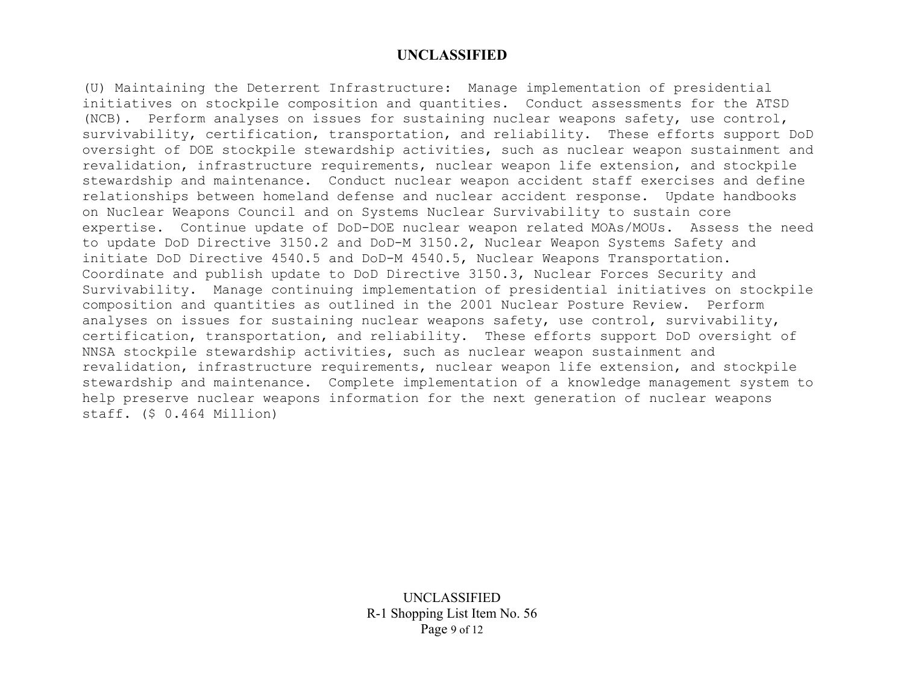(U) Maintaining the Deterrent Infrastructure: Manage implementation of presidential initiatives on stockpile composition and quantities. Conduct assessments for the ATSD (NCB). Perform analyses on issues for sustaining nuclear weapons safety, use control, survivability, certification, transportation, and reliability. These efforts support DoD oversight of DOE stockpile stewardship activities, such as nuclear weapon sustainment and revalidation, infrastructure requirements, nuclear weapon life extension, and stockpile stewardship and maintenance. Conduct nuclear weapon accident staff exercises and define relationships between homeland defense and nuclear accident response. Update handbooks on Nuclear Weapons Council and on Systems Nuclear Survivability to sustain core expertise. Continue update of DoD-DOE nuclear weapon related MOAs/MOUs. Assess the need to update DoD Directive 3150.2 and DoD-M 3150.2, Nuclear Weapon Systems Safety and initiate DoD Directive 4540.5 and DoD-M 4540.5, Nuclear Weapons Transportation. Coordinate and publish update to DoD Directive 3150.3, Nuclear Forces Security and Survivability. Manage continuing implementation of presidential initiatives on stockpile composition and quantities as outlined in the 2001 Nuclear Posture Review. Perform analyses on issues for sustaining nuclear weapons safety, use control, survivability, certification, transportation, and reliability. These efforts support DoD oversight of NNSA stockpile stewardship activities, such as nuclear weapon sustainment and revalidation, infrastructure requirements, nuclear weapon life extension, and stockpile stewardship and maintenance. Complete implementation of a knowledge management system to help preserve nuclear weapons information for the next generation of nuclear weapons staff. (\$ 0.464 Million)

> UNCLASSIFIED R-1 Shopping List Item No. 56 Page 9 of 12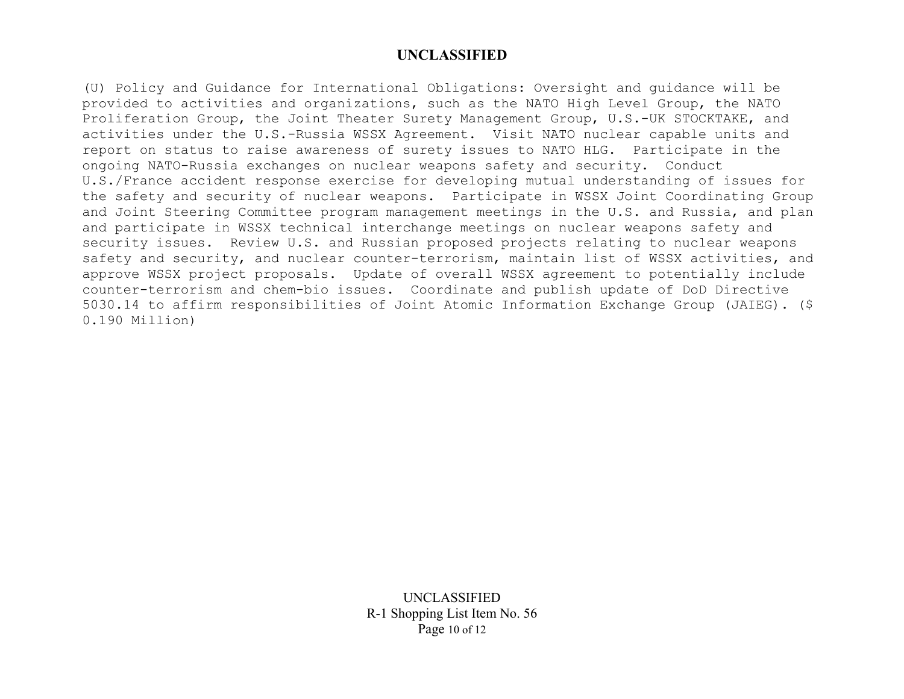(U) Policy and Guidance for International Obligations: Oversight and guidance will be provided to activities and organizations, such as the NATO High Level Group, the NATO Proliferation Group, the Joint Theater Surety Management Group, U.S.-UK STOCKTAKE, and activities under the U.S.-Russia WSSX Agreement. Visit NATO nuclear capable units and report on status to raise awareness of surety issues to NATO HLG. Participate in the ongoing NATO-Russia exchanges on nuclear weapons safety and security. Conduct U.S./France accident response exercise for developing mutual understanding of issues for the safety and security of nuclear weapons. Participate in WSSX Joint Coordinating Group and Joint Steering Committee program management meetings in the U.S. and Russia, and plan and participate in WSSX technical interchange meetings on nuclear weapons safety and security issues. Review U.S. and Russian proposed projects relating to nuclear weapons safety and security, and nuclear counter-terrorism, maintain list of WSSX activities, and approve WSSX project proposals. Update of overall WSSX agreement to potentially include counter-terrorism and chem-bio issues. Coordinate and publish update of DoD Directive 5030.14 to affirm responsibilities of Joint Atomic Information Exchange Group (JAIEG). (\$ 0.190 Million)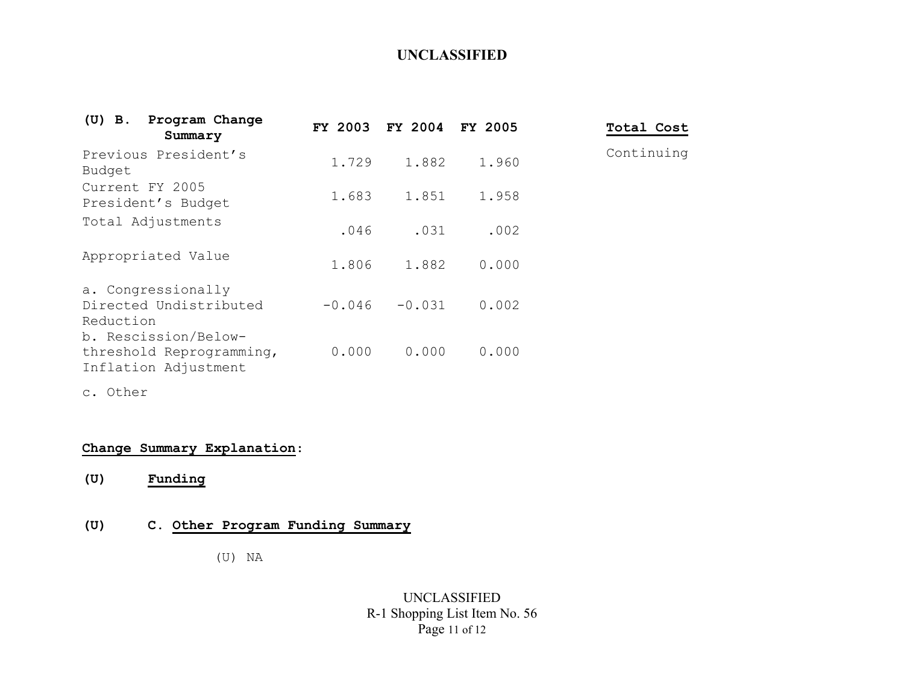| $(U)$ B.<br>Program Change<br>Summary                                    | FY 2003  | FY 2004 FY 2005 |       | Total Cost |
|--------------------------------------------------------------------------|----------|-----------------|-------|------------|
| Previous President's<br>Budget                                           | 1.729    | 1.882           | 1.960 | Continuing |
| Current FY 2005<br>President's Budget                                    | 1.683    | 1.851           | 1.958 |            |
| Total Adjustments                                                        | .046     | .031            | .002  |            |
| Appropriated Value                                                       | 1.806    | 1.882           | 0.000 |            |
| a. Congressionally<br>Directed Undistributed<br>Reduction                | $-0.046$ | $-0.031$        | 0.002 |            |
| b. Rescission/Below-<br>threshold Reprogramming,<br>Inflation Adjustment | 0.000    | 0.000           | 0.000 |            |

c. Other

# **Change Summary Explanation**:

**(U) Funding**

# **(U) C. Other Program Funding Summary**

(U) NA

## UNCLASSIFIED R-1 Shopping List Item No. 56 Page 11 of 12